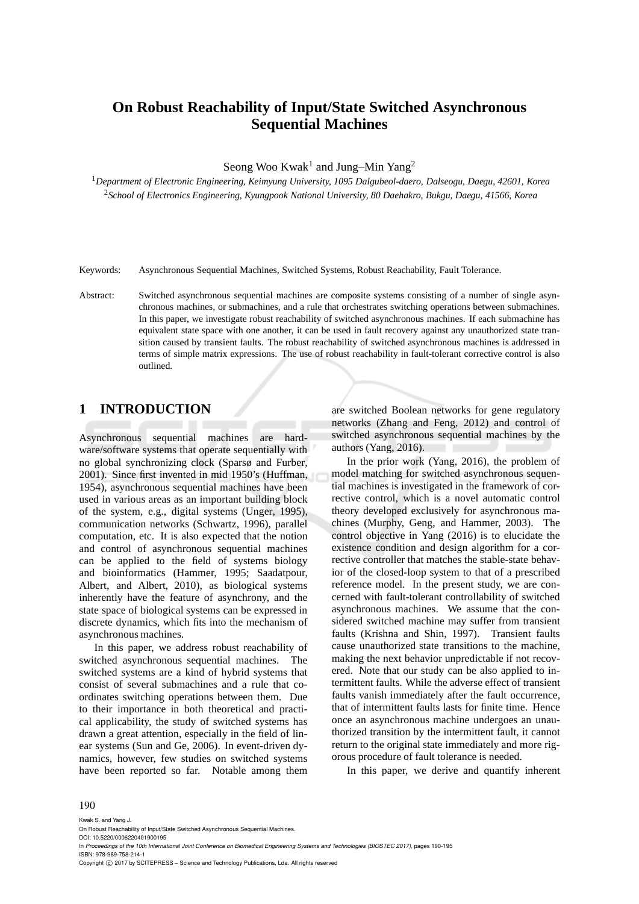# **On Robust Reachability of Input/State Switched Asynchronous Sequential Machines**

Seong Woo Kwak<sup>1</sup> and Jung-Min Yang<sup>2</sup>

<sup>1</sup>*Department of Electronic Engineering, Keimyung University, 1095 Dalgubeol-daero, Dalseogu, Daegu, 42601, Korea* <sup>2</sup>*School of Electronics Engineering, Kyungpook National University, 80 Daehakro, Bukgu, Daegu, 41566, Korea*

Keywords: Asynchronous Sequential Machines, Switched Systems, Robust Reachability, Fault Tolerance.

Abstract: Switched asynchronous sequential machines are composite systems consisting of a number of single asynchronous machines, or submachines, and a rule that orchestrates switching operations between submachines. In this paper, we investigate robust reachability of switched asynchronous machines. If each submachine has equivalent state space with one another, it can be used in fault recovery against any unauthorized state transition caused by transient faults. The robust reachability of switched asynchronous machines is addressed in terms of simple matrix expressions. The use of robust reachability in fault-tolerant corrective control is also outlined.

## **1 INTRODUCTION**

Asynchronous sequential machines are hardware/software systems that operate sequentially with no global synchronizing clock (Sparsø and Furber, 2001). Since first invented in mid 1950's (Huffman, 1954), asynchronous sequential machines have been used in various areas as an important building block of the system, e.g., digital systems (Unger, 1995), communication networks (Schwartz, 1996), parallel computation, etc. It is also expected that the notion and control of asynchronous sequential machines can be applied to the field of systems biology and bioinformatics (Hammer, 1995; Saadatpour, Albert, and Albert, 2010), as biological systems inherently have the feature of asynchrony, and the state space of biological systems can be expressed in discrete dynamics, which fits into the mechanism of asynchronous machines.

In this paper, we address robust reachability of switched asynchronous sequential machines. The switched systems are a kind of hybrid systems that consist of several submachines and a rule that coordinates switching operations between them. Due to their importance in both theoretical and practical applicability, the study of switched systems has drawn a great attention, especially in the field of linear systems (Sun and Ge, 2006). In event-driven dynamics, however, few studies on switched systems have been reported so far. Notable among them

are switched Boolean networks for gene regulatory networks (Zhang and Feng, 2012) and control of switched asynchronous sequential machines by the authors (Yang, 2016).

In the prior work (Yang, 2016), the problem of model matching for switched asynchronous sequential machines is investigated in the framework of corrective control, which is a novel automatic control theory developed exclusively for asynchronous machines (Murphy, Geng, and Hammer, 2003). The control objective in Yang (2016) is to elucidate the existence condition and design algorithm for a corrective controller that matches the stable-state behavior of the closed-loop system to that of a prescribed reference model. In the present study, we are concerned with fault-tolerant controllability of switched asynchronous machines. We assume that the considered switched machine may suffer from transient faults (Krishna and Shin, 1997). Transient faults cause unauthorized state transitions to the machine, making the next behavior unpredictable if not recovered. Note that our study can be also applied to intermittent faults. While the adverse effect of transient faults vanish immediately after the fault occurrence, that of intermittent faults lasts for finite time. Hence once an asynchronous machine undergoes an unauthorized transition by the intermittent fault, it cannot return to the original state immediately and more rigorous procedure of fault tolerance is needed.

In this paper, we derive and quantify inherent

#### 190

Kwak S. and Yang J.

DOI: 10.5220/0006220401900195 In *Proceedings of the 10th International Joint Conference on Biomedical Engineering Systems and Technologies (BIOSTEC 2017)*, pages 190-195 ISBN: 978-989-758-214-1

Copyright © 2017 by SCITEPRESS - Science and Technology Publications, Lda. All rights reserved

On Robust Reachability of Input/State Switched Asynchronous Sequential Machines.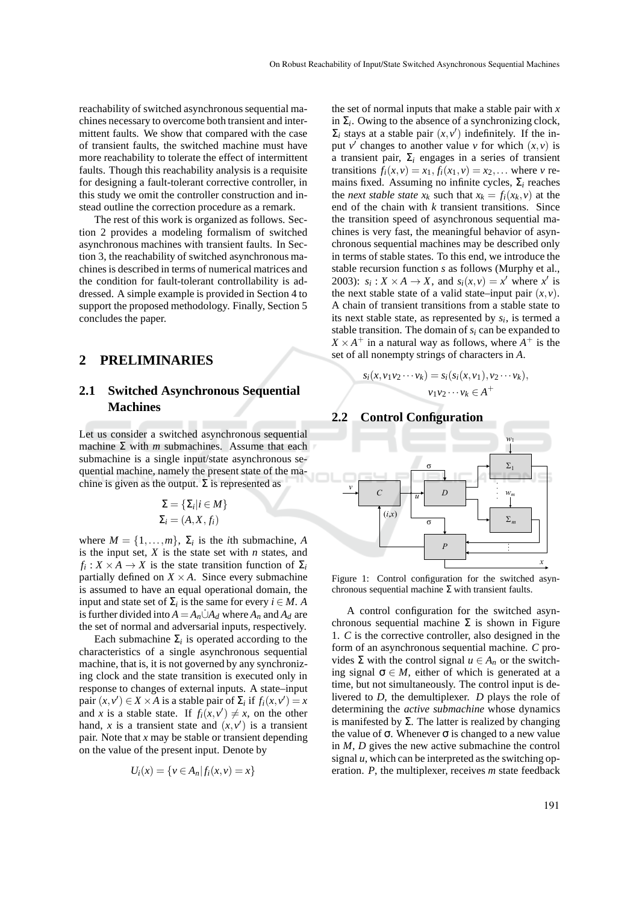reachability of switched asynchronous sequential machines necessary to overcome both transient and intermittent faults. We show that compared with the case of transient faults, the switched machine must have more reachability to tolerate the effect of intermittent faults. Though this reachability analysis is a requisite for designing a fault-tolerant corrective controller, in this study we omit the controller construction and instead outline the correction procedure as a remark.

The rest of this work is organized as follows. Section 2 provides a modeling formalism of switched asynchronous machines with transient faults. In Section 3, the reachability of switched asynchronous machines is described in terms of numerical matrices and the condition for fault-tolerant controllability is addressed. A simple example is provided in Section 4 to support the proposed methodology. Finally, Section 5 concludes the paper.

## **2 PRELIMINARIES**

## **2.1 Switched Asynchronous Sequential Machines**

Let us consider a switched asynchronous sequential machine  $\Sigma$  with *m* submachines. Assume that each submachine is a single input/state asynchronous sequential machine, namely the present state of the machine is given as the output.  $\Sigma$  is represented as

$$
\Sigma = \{\Sigma_i | i \in M\}
$$

$$
\Sigma_i = (A, X, f_i)
$$

where  $M = \{1, \ldots, m\}$ ,  $\Sigma_i$  is the *i*th submachine, *A* is the input set, *X* is the state set with *n* states, and  $f_i: X \times A \to X$  is the state transition function of  $\Sigma_i$ partially defined on  $X \times A$ . Since every submachine is assumed to have an equal operational domain, the input and state set of  $\Sigma_i$  is the same for every  $i \in M$ . *A* is further divided into  $A = A_n \dot{\cup} A_d$  where  $A_n$  and  $A_d$  are the set of normal and adversarial inputs, respectively.

Each submachine  $\Sigma_i$  is operated according to the characteristics of a single asynchronous sequential machine, that is, it is not governed by any synchronizing clock and the state transition is executed only in response to changes of external inputs. A state–input pair  $(x, v') \in X \times A$  is a stable pair of  $\Sigma_i$  if  $f_i(x, v') = x$ and *x* is a stable state. If  $f_i(x, v') \neq x$ , on the other hand, x is a transient state and  $(x, v')$  is a transient pair. Note that *x* may be stable or transient depending on the value of the present input. Denote by

$$
U_i(x) = \{v \in A_n | f_i(x, v) = x\}
$$

the set of normal inputs that make a stable pair with *x* in  $\Sigma_i$ . Owing to the absence of a synchronizing clock,  $\Sigma_i$  stays at a stable pair  $(x, v')$  indefinitely. If the input  $v'$  changes to another value  $v$  for which  $(x, v)$  is a transient pair,  $\Sigma_i$  engages in a series of transient transitions  $f_i(x, v) = x_1, f_i(x_1, v) = x_2, \dots$  where *v* remains fixed. Assuming no infinite cycles, Σ*<sup>i</sup>* reaches the *next stable state*  $x_k$  such that  $x_k = f_i(x_k, v)$  at the end of the chain with *k* transient transitions. Since the transition speed of asynchronous sequential machines is very fast, the meaningful behavior of asynchronous sequential machines may be described only in terms of stable states. To this end, we introduce the stable recursion function *s* as follows (Murphy et al., 2003):  $s_i: X \times A \rightarrow X$ , and  $s_i(x, v) = x'$  where  $x'$  is the next stable state of a valid state–input pair  $(x, y)$ . A chain of transient transitions from a stable state to its next stable state, as represented by  $s_i$ , is termed a stable transition. The domain of  $s_i$  can be expanded to  $X \times A^+$  in a natural way as follows, where  $A^+$  is the set of all nonempty strings of characters in *A*.

$$
s_i(x, v_1v_2\cdots v_k) = s_i(s_i(x, v_1), v_2\cdots v_k),
$$
  

$$
v_1v_2\cdots v_k \in A^+
$$

#### **2.2 Control Configuration**



Figure 1: Control configuration for the switched asynchronous sequential machine Σ with transient faults.

A control configuration for the switched asynchronous sequential machine  $\Sigma$  is shown in Figure 1. *C* is the corrective controller, also designed in the form of an asynchronous sequential machine. *C* provides  $\Sigma$  with the control signal  $u \in A_n$  or the switching signal  $\sigma \in M$ , either of which is generated at a time, but not simultaneously. The control input is delivered to *D*, the demultiplexer. *D* plays the role of determining the *active submachine* whose dynamics is manifested by  $\Sigma$ . The latter is realized by changing the value of  $\sigma$ . Whenever  $\sigma$  is changed to a new value in *M*, *D* gives the new active submachine the control signal  $u$ , which can be interpreted as the switching operation. *P*, the multiplexer, receives *m* state feedback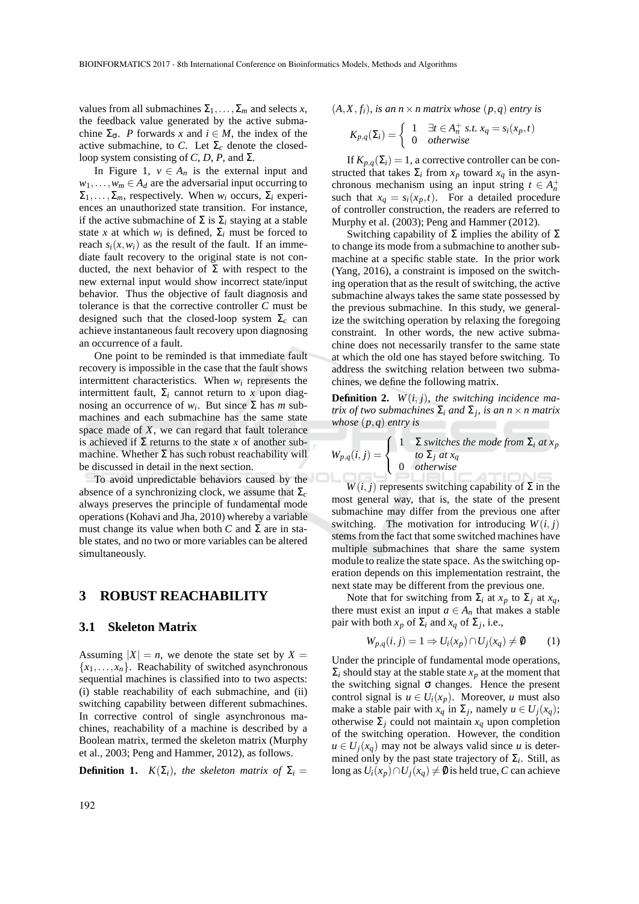values from all submachines  $\Sigma_1, \ldots, \Sigma_m$  and selects *x*, the feedback value generated by the active submachine  $\Sigma_{\sigma}$ . *P* forwards *x* and  $i \in M$ , the index of the active submachine, to *C*. Let  $\Sigma_c$  denote the closedloop system consisting of *C*, *D*, *P*, and  $\Sigma$ .

In Figure 1,  $v \in A_n$  is the external input and  $w_1, \ldots, w_m \in A_d$  are the adversarial input occurring to  $\Sigma_1, \ldots, \Sigma_m$ , respectively. When  $w_i$  occurs,  $\Sigma_i$  experiences an unauthorized state transition. For instance, if the active submachine of  $\Sigma$  is  $\Sigma_i$  staying at a stable state *x* at which  $w_i$  is defined,  $\Sigma_i$  must be forced to reach  $s_i(x, w_i)$  as the result of the fault. If an immediate fault recovery to the original state is not conducted, the next behavior of  $\Sigma$  with respect to the new external input would show incorrect state/input behavior. Thus the objective of fault diagnosis and tolerance is that the corrective controller *C* must be designed such that the closed-loop system  $\Sigma_c$  can achieve instantaneous fault recovery upon diagnosing an occurrence of a fault.

One point to be reminded is that immediate fault recovery is impossible in the case that the fault shows intermittent characteristics. When *w<sup>i</sup>* represents the intermittent fault,  $\Sigma_i$  cannot return to *x* upon diagnosing an occurrence of  $w_i$ . But since  $\Sigma$  has *m* submachines and each submachine has the same state space made of *X*, we can regard that fault tolerance is achieved if  $\Sigma$  returns to the state *x* of another submachine. Whether  $\Sigma$  has such robust reachability will be discussed in detail in the next section.

To avoid unpredictable behaviors caused by the absence of a synchronizing clock, we assume that  $\Sigma_c$ always preserves the principle of fundamental mode operations (Kohavi and Jha, 2010) whereby a variable must change its value when both  $C$  and  $\Sigma$  are in stable states, and no two or more variables can be altered simultaneously.

## **3 ROBUST REACHABILITY**

### **3.1 Skeleton Matrix**

Assuming  $|X| = n$ , we denote the state set by  $X =$  ${x_1, \ldots, x_n}$ . Reachability of switched asynchronous sequential machines is classified into to two aspects: (i) stable reachability of each submachine, and (ii) switching capability between different submachines. In corrective control of single asynchronous machines, reachability of a machine is described by a Boolean matrix, termed the skeleton matrix (Murphy et al., 2003; Peng and Hammer, 2012), as follows.

**Definition 1.**  $K(\Sigma_i)$ *, the skeleton matrix of*  $\Sigma_i$  =

$$
(A, X, f_i)
$$
, is an  $n \times n$  matrix whose  $(p, q)$  entry is

$$
K_{p,q}(\Sigma_i) = \begin{cases} 1 & \exists t \in A_n^+ \text{ s.t. } x_q = s_i(x_p, t) \\ 0 & otherwise \end{cases}
$$

If  $K_{p,q}(\Sigma_i) = 1$ , a corrective controller can be constructed that takes  $\Sigma_i$  from  $x_p$  toward  $x_q$  in the asynchronous mechanism using an input string  $t \in A_n^+$ such that  $x_q = s_i(x_p, t)$ . For a detailed procedure of controller construction, the readers are referred to Murphy et al. (2003); Peng and Hammer (2012).

Switching capability of Σ implies the ability of Σ to change its mode from a submachine to another submachine at a specific stable state. In the prior work (Yang, 2016), a constraint is imposed on the switching operation that as the result of switching, the active submachine always takes the same state possessed by the previous submachine. In this study, we generalize the switching operation by relaxing the foregoing constraint. In other words, the new active submachine does not necessarily transfer to the same state at which the old one has stayed before switching. To address the switching relation between two submachines, we define the following matrix.

**Definition 2***. W*(*i*, *j*)*, the switching incidence matrix of two submachines* Σ*<sup>i</sup> and* Σ*<sup>j</sup> , is an n*×*n matrix whose* (*p*,*q*) *entry is*

$$
W_{p,q}(i,j) = \begin{cases} 1 & \text{ } \Sigma \text{ switches the mode from } \Sigma_i \text{ at } x_p \\ 0 & \text{ } \text{otherwise} \end{cases}
$$

 $W(i, j)$  represents switching capability of  $\Sigma$  in the most general way, that is, the state of the present submachine may differ from the previous one after switching. The motivation for introducing  $W(i, j)$ stems from the fact that some switched machines have multiple submachines that share the same system module to realize the state space. As the switching operation depends on this implementation restraint, the next state may be different from the previous one.

Note that for switching from  $\Sigma_i$  at  $x_p$  to  $\Sigma_j$  at  $x_q$ , there must exist an input  $a \in A_n$  that makes a stable pair with both *x<sup>p</sup>* of Σ*<sup>i</sup>* and *x<sup>q</sup>* of Σ*<sup>j</sup>* , i.e.,

$$
W_{p,q}(i,j) = 1 \Rightarrow U_i(x_p) \cap U_j(x_q) \neq \emptyset \tag{1}
$$

Under the principle of fundamental mode operations,  $\Sigma_i$  should stay at the stable state  $x_p$  at the moment that the switching signal  $\sigma$  changes. Hence the present control signal is  $u \in U_i(x_p)$ . Moreover, *u* must also make a stable pair with  $x_q$  in  $\Sigma_j$ , namely  $u \in U_j(x_q)$ ; otherwise Σ*<sup>j</sup>* could not maintain *x<sup>q</sup>* upon completion of the switching operation. However, the condition  $u \in U_i(x_a)$  may not be always valid since *u* is determined only by the past state trajectory of  $\Sigma_i$ . Still, as long as  $U_i(x_p) ∩ U_j(x_q) \neq \emptyset$  is held true, *C* can achieve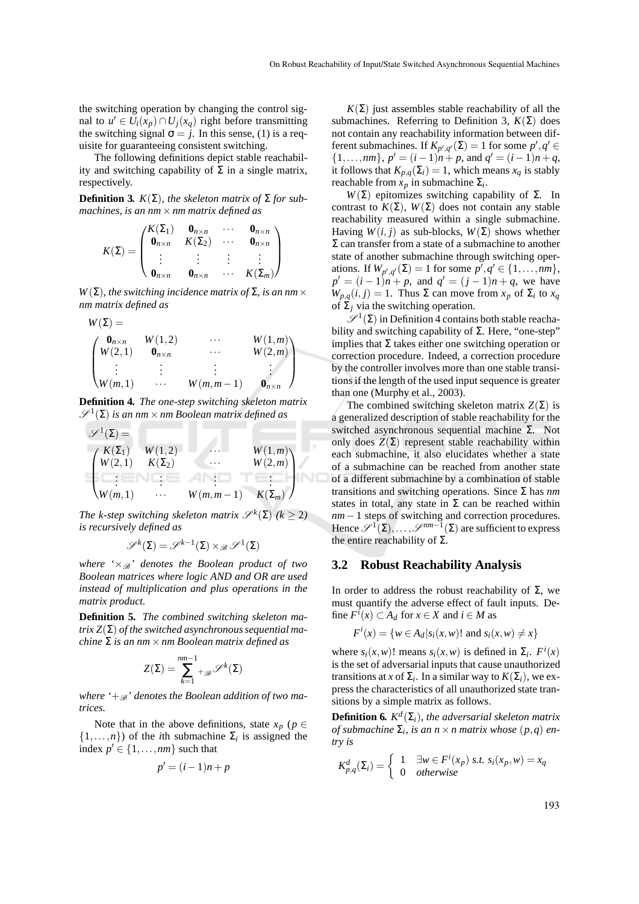the switching operation by changing the control signal to  $u' \in U_i(x_p) \cap U_j(x_q)$  right before transmitting the switching signal  $\sigma = j$ . In this sense, (1) is a requisite for guaranteeing consistent switching.

The following definitions depict stable reachability and switching capability of  $\Sigma$  in a single matrix, respectively.

**Definition 3.**  $K(\Sigma)$ , the skeleton matrix of  $\Sigma$  for sub*machines, is an nm*×*nm matrix defined as*

$$
K(\Sigma) = \begin{pmatrix} K(\Sigma_1) & \mathbf{0}_{n \times n} & \cdots & \mathbf{0}_{n \times n} \\ \mathbf{0}_{n \times n} & K(\Sigma_2) & \cdots & \mathbf{0}_{n \times n} \\ \vdots & \vdots & \vdots & \vdots \\ \mathbf{0}_{n \times n} & \mathbf{0}_{n \times n} & \cdots & K(\Sigma_m) \end{pmatrix}
$$

 $W(\Sigma)$ *, the switching incidence matrix of*  $\Sigma$ *, is an nm*  $\times$ *nm matrix defined as*

$$
W(\Sigma) = \n\begin{pmatrix}\n\mathbf{0}_{n \times n} & W(1,2) & \cdots & W(1,m) \\
W(2,1) & \mathbf{0}_{n \times n} & \cdots & W(2,m) \\
\vdots & \vdots & \vdots & \vdots \\
W(m,1) & \cdots & W(m,m-1) & \mathbf{0}_{n \times n}\n\end{pmatrix}
$$

**Definition 4***. The one-step switching skeleton matrix*  $\mathscr{S}^1(\Sigma)$  is an nm  $\times$  nm Boolean matrix defined as

$$
\mathscr{S}^{1}(\Sigma) = \n\begin{pmatrix}\nK(\Sigma_{1}) & W(1,2) & \cdots & W(1,m) \\
W(2,1) & K(\Sigma_{2}) & \cdots & W(2,m) \\
\vdots & \vdots & \ddots & \vdots & \vdots \\
W(m,1) & \cdots & W(m,m-1) & K(\Sigma_{m})\n\end{pmatrix}
$$

*The k-step switching skeleton matrix*  $\mathscr{S}^k(\Sigma)$  ( $k \geq 2$ ) *is recursively defined as*

$$
\mathscr{S}^k(\Sigma)=\mathscr{S}^{k-1}(\Sigma)\times_{\mathscr{B}}\mathscr{S}^1(\Sigma)
$$

*where*  $\forall x \mathcal{B}'$  *denotes the Boolean product of two Boolean matrices where logic AND and OR are used instead of multiplication and plus operations in the matrix product.*

**Definition 5***. The combined switching skeleton matrix Z*(Σ) *of the switched asynchronous sequential machine* Σ *is an nm*×*nm Boolean matrix defined as*

$$
Z(\Sigma) = \sum_{k=1}^{nm-1} {}_{\mathcal{B}}\mathcal{S}^k(\Sigma)
$$

where  $\mathcal{L}_{\mathscr{B}}'$  denotes the Boolean addition of two ma*trices.*

Note that in the above definitions, state  $x_p$  ( $p \in$  $\{1,\ldots,n\}$  of the *i*th submachine  $\Sigma_i$  is assigned the index  $p' \in \{1, \ldots, nm\}$  such that

$$
p' = (i-1)n + p
$$

 $K(\Sigma)$  just assembles stable reachability of all the submachines. Referring to Definition 3,  $K(\Sigma)$  does not contain any reachability information between different submachines. If  $K_{p',q'}(\Sigma) = 1$  for some  $p', q' \in$ {1,...,*nm*},  $p' = (i-1)n + p$ , and  $q' = (i-1)n + q$ , it follows that  $K_{p,q}(\Sigma_i) = 1$ , which means  $x_q$  is stably reachable from *x<sup>p</sup>* in submachine Σ*<sup>i</sup>* .

*W*(Σ) epitomizes switching capability of Σ. In contrast to  $K(\Sigma)$ ,  $W(\Sigma)$  does not contain any stable reachability measured within a single submachine. Having *W*(*i*, *j*) as sub-blocks, *W*(Σ) shows whether  $\Sigma$  can transfer from a state of a submachine to another state of another submachine through switching operations. If  $W_{p',q'}(\Sigma) = 1$  for some  $p', q' \in \{1, ..., nm\}$ ,  $p' = (i - 1)n + p$ , and  $q' = (j - 1)n + q$ , we have  $W_{p,q}(i,j) = 1$ . Thus  $\Sigma$  can move from  $x_p$  of  $\Sigma_i$  to  $x_q$ of  $\Sigma_j$  via the switching operation.

 $\mathscr{S}^1(\Sigma)$  in Definition 4 contains both stable reachability and switching capability of  $\Sigma$ . Here, "one-step" implies that  $\Sigma$  takes either one switching operation or correction procedure. Indeed, a correction procedure by the controller involves more than one stable transitions if the length of the used input sequence is greater than one (Murphy et al., 2003).

The combined switching skeleton matrix  $Z(\Sigma)$  is a generalized description of stable reachability for the switched asynchronous sequential machine Σ. Not only does  $Z(\Sigma)$  represent stable reachability within each submachine, it also elucidates whether a state of a submachine can be reached from another state of a different submachine by a combination of stable transitions and switching operations. Since Σ has *nm* states in total, any state in  $\Sigma$  can be reached within *nm* − 1 steps of switching and correction procedures. Hence  $\mathscr{S}^1(\Sigma), \ldots, \mathscr{S}^{nm-1}(\Sigma)$  are sufficient to express the entire reachability of  $Σ$ .

#### **3.2 Robust Reachability Analysis**

In order to address the robust reachability of Σ, we must quantify the adverse effect of fault inputs. Define  $F^{i}(x) \subset A_d$  for  $x \in X$  and  $i \in M$  as

$$
F^i(x) = \{ w \in A_d | s_i(x, w) \text{ and } s_i(x, w) \neq x \}
$$

where  $s_i(x, w)$ ! means  $s_i(x, w)$  is defined in  $\Sigma_i$ .  $F^i(x)$ is the set of adversarial inputs that cause unauthorized transitions at *x* of  $\Sigma_i$ . In a similar way to  $K(\Sigma_i)$ , we express the characteristics of all unauthorized state transitions by a simple matrix as follows.

**Definition 6.**  $K^d(\Sigma_i)$ , the adversarial skeleton matrix *of submachine*  $\Sigma_i$ , *is an n*  $\times$  *n matrix whose*  $(p,q)$  *entry is*

$$
K_{p,q}^d(\Sigma_i) = \begin{cases} 1 & \exists w \in F^i(x_p) \text{ s.t. } s_i(x_p, w) = x_q \\ 0 & otherwise \end{cases}
$$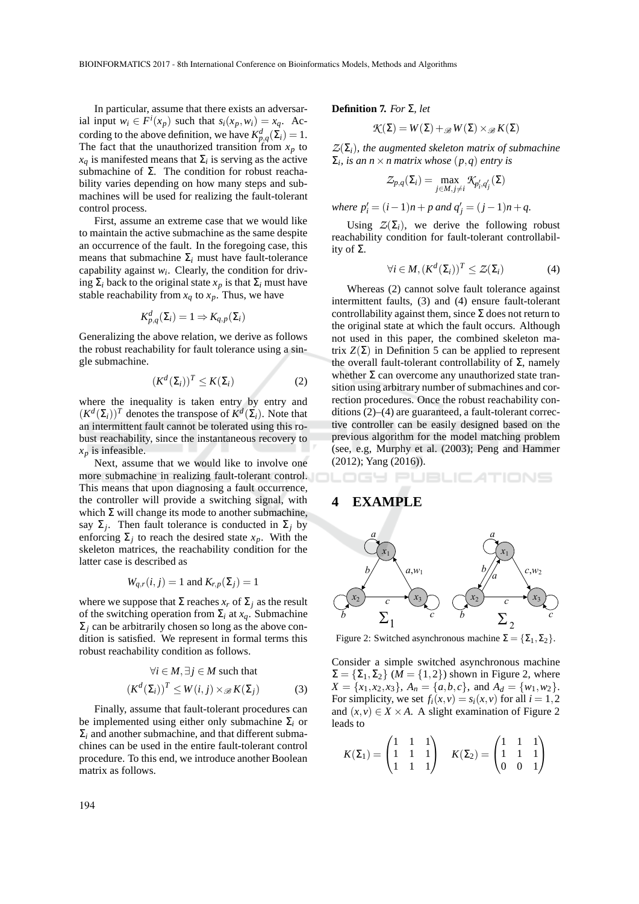In particular, assume that there exists an adversarial input  $w_i \in F^i(x_p)$  such that  $s_i(x_p, w_i) = x_q$ . According to the above definition, we have  $K_{p,q}^d(\Sigma_i) = 1$ . The fact that the unauthorized transition from  $x_p$  to  $x_q$  is manifested means that  $\Sigma_i$  is serving as the active submachine of  $\Sigma$ . The condition for robust reachability varies depending on how many steps and submachines will be used for realizing the fault-tolerant control process.

First, assume an extreme case that we would like to maintain the active submachine as the same despite an occurrence of the fault. In the foregoing case, this means that submachine  $\Sigma_i$  must have fault-tolerance capability against  $w_i$ . Clearly, the condition for driving  $\Sigma_i$  back to the original state  $x_p$  is that  $\Sigma_i$  must have stable reachability from  $x_q$  to  $x_p$ . Thus, we have

$$
K_{p,q}^d(\Sigma_i) = 1 \Rightarrow K_{q,p}(\Sigma_i)
$$

Generalizing the above relation, we derive as follows the robust reachability for fault tolerance using a single submachine.

$$
(K^d(\Sigma_i))^T \le K(\Sigma_i)
$$
 (2)

where the inequality is taken entry by entry and  $(K^d(\Sigma_i))^T$  denotes the transpose of  $K^d(\Sigma_i)$ . Note that an intermittent fault cannot be tolerated using this robust reachability, since the instantaneous recovery to  $x_p$  is infeasible.

Next, assume that we would like to involve one more submachine in realizing fault-tolerant control. This means that upon diagnosing a fault occurrence, the controller will provide a switching signal, with which  $\Sigma$  will change its mode to another submachine, say  $\Sigma_j$ . Then fault tolerance is conducted in  $\Sigma_j$  by enforcing  $\Sigma_j$  to reach the desired state  $x_p$ . With the skeleton matrices, the reachability condition for the latter case is described as

$$
W_{q,r}(i,j) = 1
$$
 and  $K_{r,p}(\Sigma_j) = 1$ 

where we suppose that  $\Sigma$  reaches  $x_r$  of  $\Sigma_j$  as the result of the switching operation from Σ*<sup>i</sup>* at *xq*. Submachine  $\Sigma_i$  can be arbitrarily chosen so long as the above condition is satisfied. We represent in formal terms this robust reachability condition as follows.

$$
\forall i \in M, \exists j \in M \text{ such that}
$$

$$
(K^{d}(\Sigma_{i}))^{T} \leq W(i,j) \times \mathcal{B}(K(\Sigma_{j}))
$$
(3)

Finally, assume that fault-tolerant procedures can be implemented using either only submachine Σ*<sup>i</sup>* or  $\Sigma_i$  and another submachine, and that different submachines can be used in the entire fault-tolerant control procedure. To this end, we introduce another Boolean matrix as follows.

#### **Definition 7***. For* Σ*, let*

$$
\mathcal{K}(\Sigma) = W(\Sigma) +_{\mathscr{B}} W(\Sigma) \times_{\mathscr{B}} K(\Sigma)
$$

 $Z(\Sigma_i)$ , the augmented skeleton matrix of submachine  $\Sigma_i$ , *is an n*  $\times$  *n* matrix whose  $(p,q)$  *entry is* 

$$
\mathcal{Z}_{p,q}(\Sigma_i) = \max_{j \in M, j \neq i} \mathcal{K}_{p'_i, q'_j}(\Sigma)
$$

*where*  $p'_i = (i-1)n + p$  and  $q'_j = (j-1)n + q$ .

Using  $Z(\Sigma_i)$ , we derive the following robust reachability condition for fault-tolerant controllability of  $\Sigma$ .

$$
\forall i \in M, (K^d(\Sigma_i))^T \leq Z(\Sigma_i)
$$
 (4)

Whereas (2) cannot solve fault tolerance against intermittent faults, (3) and (4) ensure fault-tolerant controllability against them, since  $\Sigma$  does not return to the original state at which the fault occurs. Although not used in this paper, the combined skeleton matrix  $Z(\Sigma)$  in Definition 5 can be applied to represent the overall fault-tolerant controllability of  $Σ$ , namely whether  $\Sigma$  can overcome any unauthorized state transition using arbitrary number of submachines and correction procedures. Once the robust reachability conditions (2)–(4) are guaranteed, a fault-tolerant corrective controller can be easily designed based on the previous algorithm for the model matching problem (see, e.g, Murphy et al. (2003); Peng and Hammer (2012); Yang (2016)).

#### **JBLICATIONS** GY PI

## **4 EXAMPLE**



Figure 2: Switched asynchronous machine  $\Sigma = {\Sigma_1, \Sigma_2}$ .

Consider a simple switched asynchronous machine  $\Sigma = {\Sigma_1, \Sigma_2}$  (*M* = {1,2}) shown in Figure 2, where  $X = \{x_1, x_2, x_3\}, A_n = \{a, b, c\}, \text{ and } A_d = \{w_1, w_2\}.$ For simplicity, we set  $f_i(x, v) = s_i(x, v)$  for all  $i = 1, 2$ and  $(x, y) \in X \times A$ . A slight examination of Figure 2 leads to

$$
K(\Sigma_1) = \begin{pmatrix} 1 & 1 & 1 \\ 1 & 1 & 1 \\ 1 & 1 & 1 \end{pmatrix} \quad K(\Sigma_2) = \begin{pmatrix} 1 & 1 & 1 \\ 1 & 1 & 1 \\ 0 & 0 & 1 \end{pmatrix}
$$